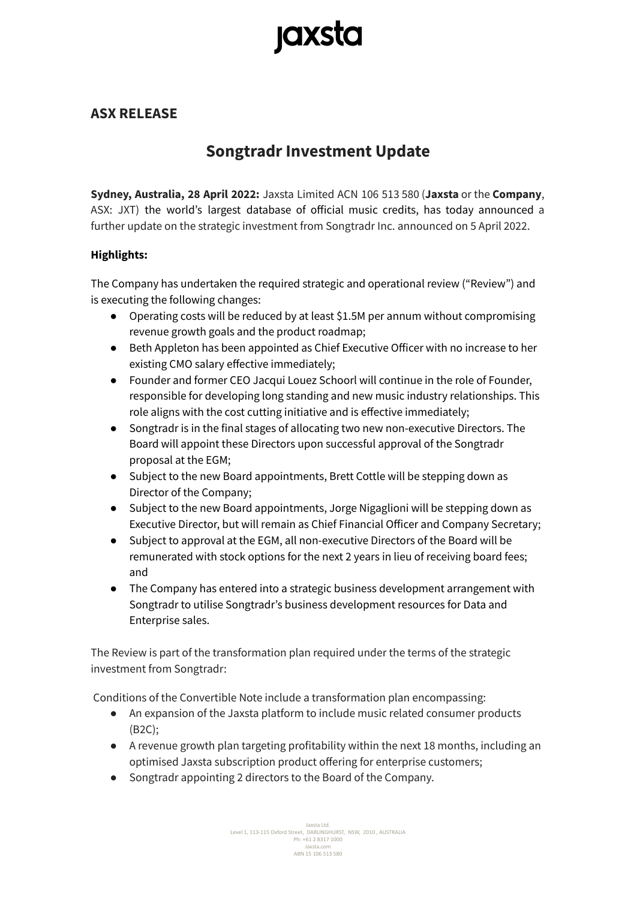# **Jaxsta**

# **ASX RELEASE**

# **Songtradr Investment Update**

**Sydney, Australia, 28 April 2022:** Jaxsta Limited ACN 106 513 580 (**Jaxsta** or the **Company**, ASX: JXT) the world's largest database of official music credits, has today announced a further update on the strategic investment from Songtradr Inc. announced on 5 April 2022.

### **Highlights:**

The Company has undertaken the required strategic and operational review ("Review") and is executing the following changes:

- Operating costs will be reduced by at least \$1.5M per annum without compromising revenue growth goals and the product roadmap;
- Beth Appleton has been appointed as Chief Executive Officer with no increase to her existing CMO salary effective immediately;
- Founder and former CEO Jacqui Louez Schoorl will continue in the role of Founder, responsible for developing long standing and new music industry relationships. This role aligns with the cost cutting initiative and is effective immediately;
- Songtradr is in the final stages of allocating two new non-executive Directors. The Board will appoint these Directors upon successful approval of the Songtradr proposal at the EGM;
- Subject to the new Board appointments, Brett Cottle will be stepping down as Director of the Company;
- Subject to the new Board appointments, Jorge Nigaglioni will be stepping down as Executive Director, but will remain as Chief Financial Officer and Company Secretary;
- Subject to approval at the EGM, all non-executive Directors of the Board will be remunerated with stock options for the next 2 years in lieu of receiving board fees; and
- The Company has entered into a strategic business development arrangement with Songtradr to utilise Songtradr's business development resources for Data and Enterprise sales.

The Review is part of the transformation plan required under the terms of the strategic investment from Songtradr:

Conditions of the Convertible Note include a transformation plan encompassing:

- An expansion of the Jaxsta platform to include music related consumer products (B2C);
- A revenue growth plan targeting profitability within the next 18 months, including an optimised Jaxsta subscription product offering for enterprise customers;
- Songtradr appointing 2 directors to the Board of the Company.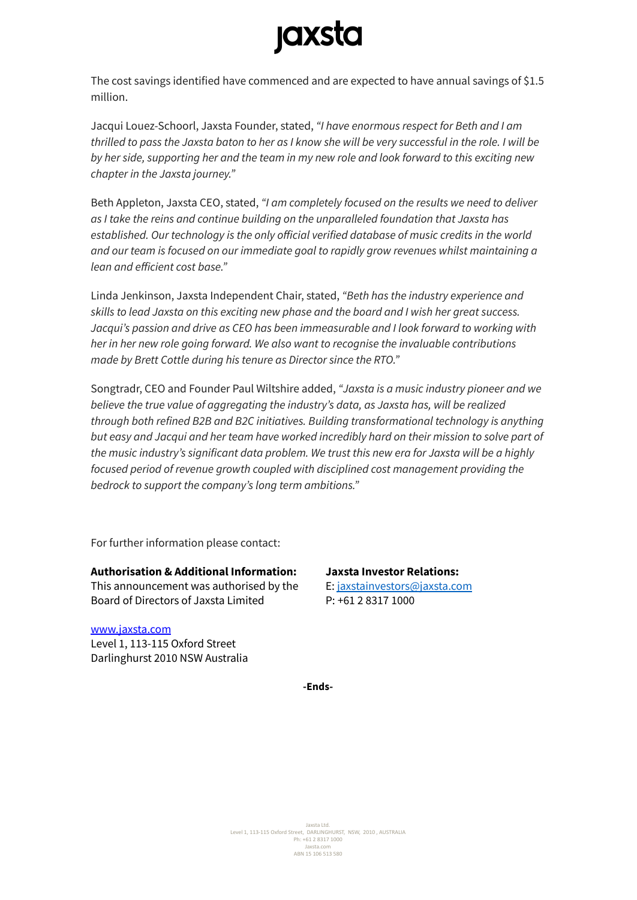# **jaxsta**

The cost savings identified have commenced and are expected to have annual savings of \$1.5 million.

Jacqui Louez-Schoorl, Jaxsta Founder, stated, *"I have enormous respect for Beth and I am* thrilled to pass the Jaxsta baton to her as I know she will be very successful in the role. I will be by her side, supporting her and the team in my new role and look forward to this exciting new *chapter in the Jaxsta journey."*

Beth Appleton, Jaxsta CEO, stated, *"I am completely focused on the results we need to deliver as I take the reins and continue building on the unparalleled foundation that Jaxsta has established. Our technology is the only official verified database of music credits in the world and our team is focused on our immediate goal to rapidly grow revenues whilst maintaining a lean and efficient cost base."*

Linda Jenkinson, Jaxsta Independent Chair, stated, *"Beth has the industry experience and skills to lead Jaxsta on this exciting new phase and the board and I wish her great success. Jacqui's passion and drive as CEO has been immeasurable and I look forward to working with her in her new role going forward. We also want to recognise the invaluable contributions made by Brett Cottle during his tenure as Director since the RTO."*

Songtradr, CEO and Founder Paul Wiltshire added, *"Jaxsta is a music industry pioneer and we believe the true value of aggregating the industry's data, as Jaxsta has, will be realized through both refined B2B and B2C initiatives. Building transformational technology is anything but easy and Jacqui and her team have worked incredibly hard on their mission to solve part of the music industry's significant data problem. We trust this new era for Jaxsta will be a highly focused period of revenue growth coupled with disciplined cost management providing the bedrock to support the company's long term ambitions."*

For further information please contact:

#### **Authorisation & Additional Information:**

This announcement was authorised by the Board of Directors of Jaxsta Limited

## **Jaxsta Investor Relations:**

E: [jaxstainvestors@jaxsta.com](mailto:jaxstainvestors@jaxsta.com) P: +61 2 8317 1000

### [www.jaxsta.com](http://www.jaxsta.com) Level 1, 113-115 Oxford Street

Darlinghurst 2010 NSW Australia

**-Ends-**